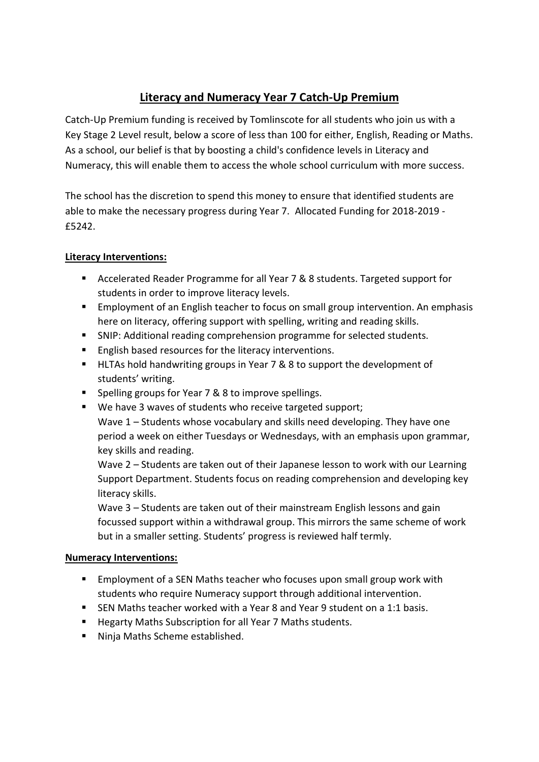# **Literacy and Numeracy Year 7 Catch-Up Premium**

Catch-Up Premium funding is received by Tomlinscote for all students who join us with a Key Stage 2 Level result, below a score of less than 100 for either, English, Reading or Maths. As a school, our belief is that by boosting a child's confidence levels in Literacy and Numeracy, this will enable them to access the whole school curriculum with more success.

The school has the discretion to spend this money to ensure that identified students are able to make the necessary progress during Year 7. Allocated Funding for 2018-2019 - £5242.

## **Literacy Interventions:**

- Accelerated Reader Programme for all Year 7 & 8 students. Targeted support for students in order to improve literacy levels.
- **Employment of an English teacher to focus on small group intervention. An emphasis** here on literacy, offering support with spelling, writing and reading skills.
- SNIP: Additional reading comprehension programme for selected students.
- **English based resources for the literacy interventions.**
- HLTAs hold handwriting groups in Year 7 & 8 to support the development of students' writing.
- Spelling groups for Year 7 & 8 to improve spellings.
- We have 3 waves of students who receive targeted support; Wave 1 – Students whose vocabulary and skills need developing. They have one period a week on either Tuesdays or Wednesdays, with an emphasis upon grammar, key skills and reading.

Wave 2 – Students are taken out of their Japanese lesson to work with our Learning Support Department. Students focus on reading comprehension and developing key literacy skills.

Wave 3 – Students are taken out of their mainstream English lessons and gain focussed support within a withdrawal group. This mirrors the same scheme of work but in a smaller setting. Students' progress is reviewed half termly.

#### **Numeracy Interventions:**

- Employment of a SEN Maths teacher who focuses upon small group work with students who require Numeracy support through additional intervention.
- SEN Maths teacher worked with a Year 8 and Year 9 student on a 1:1 basis.
- Hegarty Maths Subscription for all Year 7 Maths students.
- Ninja Maths Scheme established.